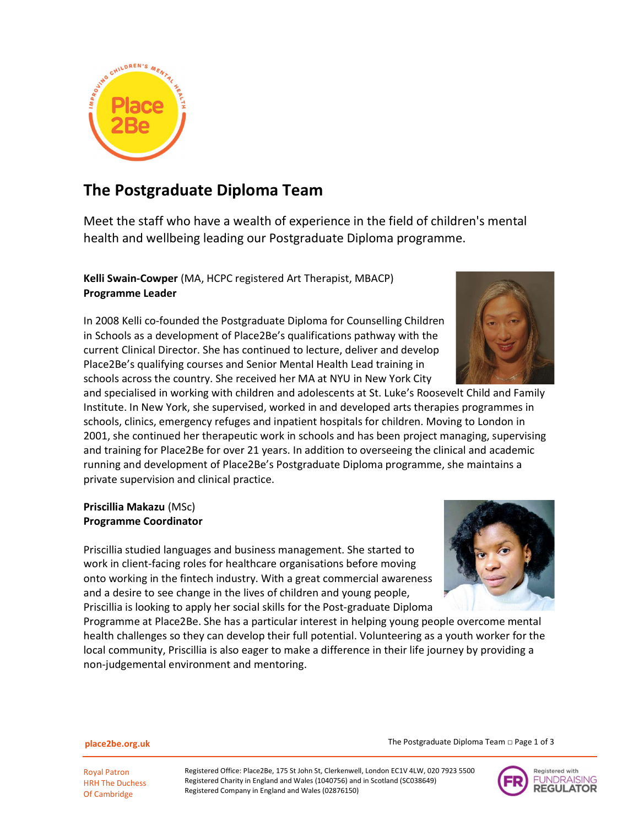

# The Postgraduate Diploma Team

Meet the staff who have a wealth of experience in the field of children's mental health and wellbeing leading our Postgraduate Diploma programme.

Kelli Swain-Cowper (MA, HCPC registered Art Therapist, MBACP) Programme Leader

In 2008 Kelli co-founded the Postgraduate Diploma for Counselling Children in Schools as a development of Place2Be's qualifications pathway with the current Clinical Director. She has continued to lecture, deliver and develop Place2Be's qualifying courses and Senior Mental Health Lead training in schools across the country. She received her MA at NYU in New York City

and specialised in working with children and adolescents at St. Luke's Roosevelt Child and Family Institute. In New York, she supervised, worked in and developed arts therapies programmes in schools, clinics, emergency refuges and inpatient hospitals for children. Moving to London in 2001, she continued her therapeutic work in schools and has been project managing, supervising and training for Place2Be for over 21 years. In addition to overseeing the clinical and academic running and development of Place2Be's Postgraduate Diploma programme, she maintains a private supervision and clinical practice.

## Priscillia Makazu (MSc) Programme Coordinator

Priscillia studied languages and business management. She started to work in client-facing roles for healthcare organisations before moving onto working in the fintech industry. With a great commercial awareness and a desire to see change in the lives of children and young people, Priscillia is looking to apply her social skills for the Post-graduate Diploma

Programme at Place2Be. She has a particular interest in helping young people overcome mental health challenges so they can develop their full potential. Volunteering as a youth worker for the local community, Priscillia is also eager to make a difference in their life journey by providing a non-judgemental environment and mentoring.



place2be.org.uk

The Postgraduate Diploma Team □ Page 1 of 3



Royal Patron HRH The Duchess Of Cambridge

Registered Office: Place2Be, 175 St John St, Clerkenwell, London EC1V 4LW, 020 7923 5500 Registered Charity in England and Wales (1040756) and in Scotland (SC038649) Registered Company in England and Wales (02876150)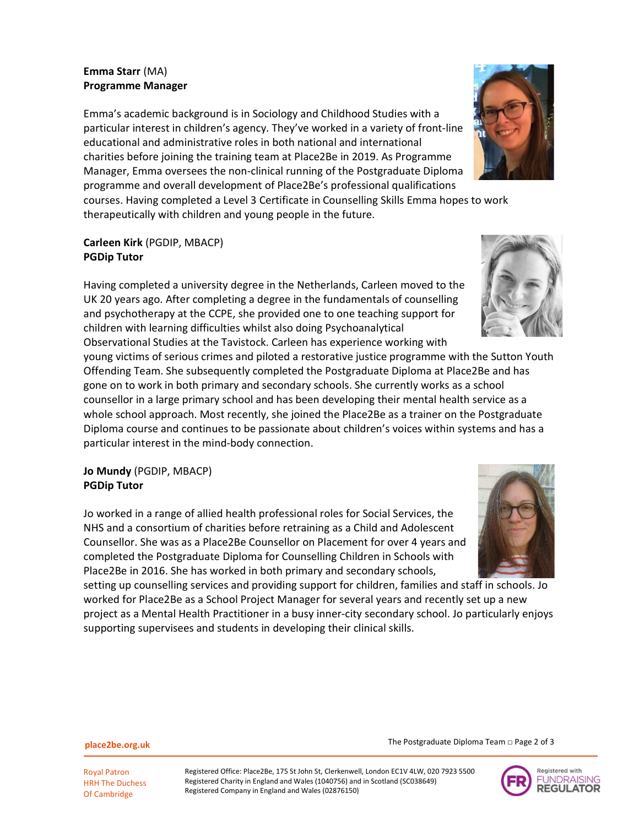### Emma Starr (MA) Programme Manager

Emma's academic background is in Sociology and Childhood Studies with a particular interest in children's agency. They've worked in a variety of front-line educational and administrative roles in both national and international charities before joining the training team at Place2Be in 2019. As Programme Manager, Emma oversees the non-clinical running of the Postgraduate Diploma programme and overall development of Place2Be's professional qualifications courses. Having completed a Level 3 Certificate in Counselling Skills Emma hopes to work

therapeutically with children and young people in the future.

## Carleen Kirk (PGDIP, MBACP) PGDip Tutor

Having completed a university degree in the Netherlands, Carleen moved to the UK 20 years ago. After completing a degree in the fundamentals of counselling and psychotherapy at the CCPE, she provided one to one teaching support for children with learning difficulties whilst also doing Psychoanalytical Observational Studies at the Tavistock. Carleen has experience working with

young victims of serious crimes and piloted a restorative justice programme with the Sutton Youth Offending Team. She subsequently completed the Postgraduate Diploma at Place2Be and has gone on to work in both primary and secondary schools. She currently works as a school counsellor in a large primary school and has been developing their mental health service as a whole school approach. Most recently, she joined the Place2Be as a trainer on the Postgraduate Diploma course and continues to be passionate about children's voices within systems and has a particular interest in the mind-body connection.

## Jo Mundy (PGDIP, MBACP) PGDip Tutor

Jo worked in a range of allied health professional roles for Social Services, the NHS and a consortium of charities before retraining as a Child and Adolescent Counsellor. She was as a Place2Be Counsellor on Placement for over 4 years and completed the Postgraduate Diploma for Counselling Children in Schools with Place2Be in 2016. She has worked in both primary and secondary schools,

setting up counselling services and providing support for children, families and staff in schools. Jo worked for Place2Be as a School Project Manager for several years and recently set up a new project as a Mental Health Practitioner in a busy inner-city secondary school. Jo particularly enjoys supporting supervisees and students in developing their clinical skills.

Registered Office: Place2Be, 175 St John St, Clerkenwell, London EC1V 4LW, 020 7923 5500 Registered Charity in England and Wales (1040756) and in Scotland (SC038649) Registered Company in England and Wales (02876150)

The Postgraduate Diploma Team □ Page 2 of 3